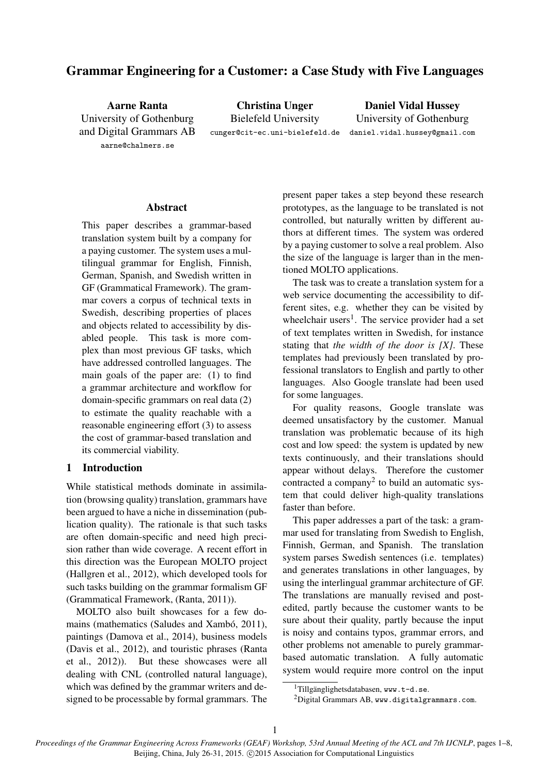# Grammar Engineering for a Customer: a Case Study with Five Languages

Aarne Ranta University of Gothenburg and Digital Grammars AB aarne@chalmers.se

Christina Unger Bielefeld University cunger@cit-ec.uni-bielefeld.de

Daniel Vidal Hussey University of Gothenburg daniel.vidal.hussey@gmail.com

#### Abstract

This paper describes a grammar-based translation system built by a company for a paying customer. The system uses a multilingual grammar for English, Finnish, German, Spanish, and Swedish written in GF (Grammatical Framework). The grammar covers a corpus of technical texts in Swedish, describing properties of places and objects related to accessibility by disabled people. This task is more complex than most previous GF tasks, which have addressed controlled languages. The main goals of the paper are: (1) to find a grammar architecture and workflow for domain-specific grammars on real data (2) to estimate the quality reachable with a reasonable engineering effort (3) to assess the cost of grammar-based translation and its commercial viability.

# 1 Introduction

While statistical methods dominate in assimilation (browsing quality) translation, grammars have been argued to have a niche in dissemination (publication quality). The rationale is that such tasks are often domain-specific and need high precision rather than wide coverage. A recent effort in this direction was the European MOLTO project (Hallgren et al., 2012), which developed tools for such tasks building on the grammar formalism GF (Grammatical Framework, (Ranta, 2011)).

MOLTO also built showcases for a few domains (mathematics (Saludes and Xambó, 2011), paintings (Damova et al., 2014), business models (Davis et al., 2012), and touristic phrases (Ranta et al., 2012)). But these showcases were all dealing with CNL (controlled natural language), which was defined by the grammar writers and designed to be processable by formal grammars. The present paper takes a step beyond these research prototypes, as the language to be translated is not controlled, but naturally written by different authors at different times. The system was ordered by a paying customer to solve a real problem. Also the size of the language is larger than in the mentioned MOLTO applications.

The task was to create a translation system for a web service documenting the accessibility to different sites, e.g. whether they can be visited by wheelchair users<sup>1</sup>. The service provider had a set of text templates written in Swedish, for instance stating that *the width of the door is [X]*. These templates had previously been translated by professional translators to English and partly to other languages. Also Google translate had been used for some languages.

For quality reasons, Google translate was deemed unsatisfactory by the customer. Manual translation was problematic because of its high cost and low speed: the system is updated by new texts continuously, and their translations should appear without delays. Therefore the customer contracted a company<sup>2</sup> to build an automatic system that could deliver high-quality translations faster than before.

This paper addresses a part of the task: a grammar used for translating from Swedish to English, Finnish, German, and Spanish. The translation system parses Swedish sentences (i.e. templates) and generates translations in other languages, by using the interlingual grammar architecture of GF. The translations are manually revised and postedited, partly because the customer wants to be sure about their quality, partly because the input is noisy and contains typos, grammar errors, and other problems not amenable to purely grammarbased automatic translation. A fully automatic system would require more control on the input

 $1$ Tillgänglighetsdatabasen, www.t-d.se.

<sup>2</sup>Digital Grammars AB, www.digitalgrammars.com.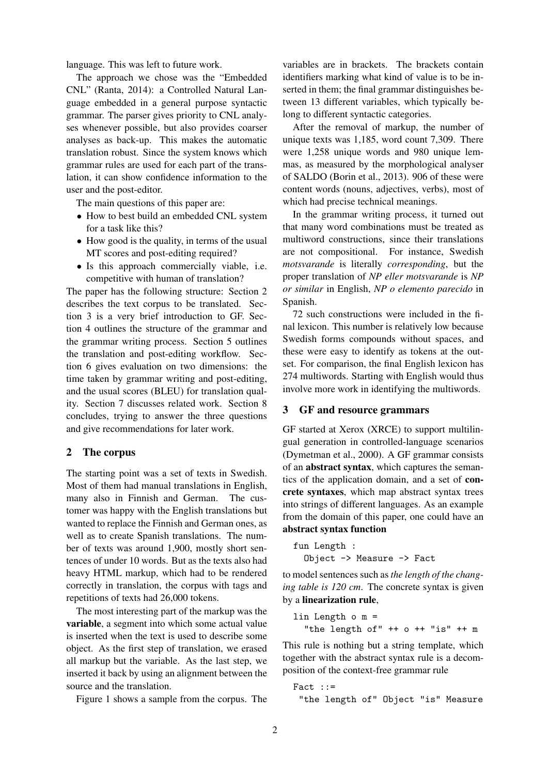language. This was left to future work.

The approach we chose was the "Embedded CNL" (Ranta, 2014): a Controlled Natural Language embedded in a general purpose syntactic grammar. The parser gives priority to CNL analyses whenever possible, but also provides coarser analyses as back-up. This makes the automatic translation robust. Since the system knows which grammar rules are used for each part of the translation, it can show confidence information to the user and the post-editor.

The main questions of this paper are:

- How to best build an embedded CNL system for a task like this?
- How good is the quality, in terms of the usual MT scores and post-editing required?
- Is this approach commercially viable, i.e. competitive with human of translation?

The paper has the following structure: Section 2 describes the text corpus to be translated. Section 3 is a very brief introduction to GF. Section 4 outlines the structure of the grammar and the grammar writing process. Section 5 outlines the translation and post-editing workflow. Section 6 gives evaluation on two dimensions: the time taken by grammar writing and post-editing, and the usual scores (BLEU) for translation quality. Section 7 discusses related work. Section 8 concludes, trying to answer the three questions and give recommendations for later work.

# 2 The corpus

The starting point was a set of texts in Swedish. Most of them had manual translations in English, many also in Finnish and German. The customer was happy with the English translations but wanted to replace the Finnish and German ones, as well as to create Spanish translations. The number of texts was around 1,900, mostly short sentences of under 10 words. But as the texts also had heavy HTML markup, which had to be rendered correctly in translation, the corpus with tags and repetitions of texts had 26,000 tokens.

The most interesting part of the markup was the variable, a segment into which some actual value is inserted when the text is used to describe some object. As the first step of translation, we erased all markup but the variable. As the last step, we inserted it back by using an alignment between the source and the translation.

Figure 1 shows a sample from the corpus. The

variables are in brackets. The brackets contain identifiers marking what kind of value is to be inserted in them; the final grammar distinguishes between 13 different variables, which typically belong to different syntactic categories.

After the removal of markup, the number of unique texts was 1,185, word count 7,309. There were 1,258 unique words and 980 unique lemmas, as measured by the morphological analyser of SALDO (Borin et al., 2013). 906 of these were content words (nouns, adjectives, verbs), most of which had precise technical meanings.

In the grammar writing process, it turned out that many word combinations must be treated as multiword constructions, since their translations are not compositional. For instance, Swedish *motsvarande* is literally *corresponding*, but the proper translation of *NP eller motsvarande* is *NP or similar* in English, *NP o elemento parecido* in Spanish.

72 such constructions were included in the final lexicon. This number is relatively low because Swedish forms compounds without spaces, and these were easy to identify as tokens at the outset. For comparison, the final English lexicon has 274 multiwords. Starting with English would thus involve more work in identifying the multiwords.

### 3 GF and resource grammars

GF started at Xerox (XRCE) to support multilingual generation in controlled-language scenarios (Dymetman et al., 2000). A GF grammar consists of an abstract syntax, which captures the semantics of the application domain, and a set of concrete syntaxes, which map abstract syntax trees into strings of different languages. As an example from the domain of this paper, one could have an abstract syntax function

```
fun Length :
  Object -> Measure -> Fact
```
to model sentences such as*the length of the changing table is 120 cm*. The concrete syntax is given by a linearization rule,

```
lin Length o m =
  "the length of" ++ o ++ "is" ++ m
```
This rule is nothing but a string template, which together with the abstract syntax rule is a decomposition of the context-free grammar rule

Fact  $::=$ "the length of" Object "is" Measure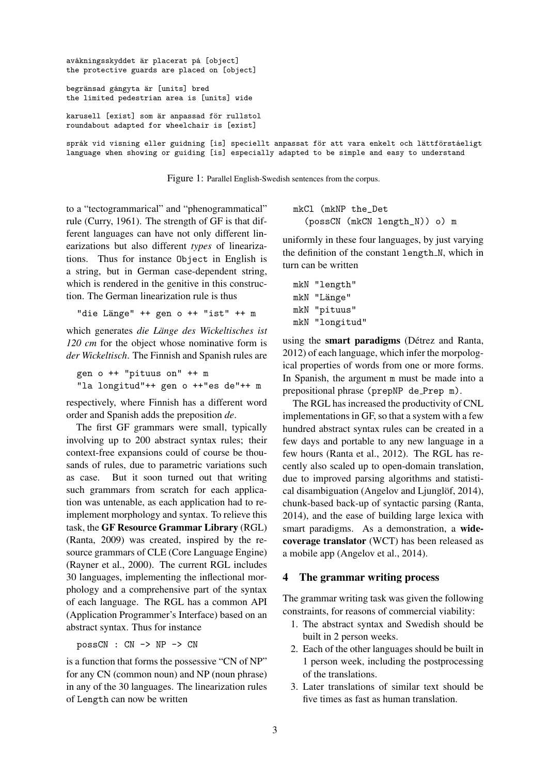```
avåkningsskyddet är placerat på [object]
the protective guards are placed on [object]
begränsad gångyta är [units] bred
the limited pedestrian area is [units] wide
karusell [exist] som är anpassad för rullstol
roundabout adapted for wheelchair is [exist]
språk vid visning eller guidning [is] speciellt anpassat för att vara enkelt och lättförståeligt
language when showing or guiding [is] especially adapted to be simple and easy to understand
```
Figure 1: Parallel English-Swedish sentences from the corpus.

to a "tectogrammarical" and "phenogrammatical" rule (Curry, 1961). The strength of GF is that different languages can have not only different linearizations but also different *types* of linearizations. Thus for instance Object in English is a string, but in German case-dependent string, which is rendered in the genitive in this construction. The German linearization rule is thus

"die Länge" ++ gen o ++ "ist" ++ m

which generates *die Länge des Wickeltisches ist 120 cm* for the object whose nominative form is *der Wickeltisch*. The Finnish and Spanish rules are

```
gen o ++ "pituus on" ++ m
"la longitud"++ gen o ++"es de"++ m
```
respectively, where Finnish has a different word order and Spanish adds the preposition *de*.

The first GF grammars were small, typically involving up to 200 abstract syntax rules; their context-free expansions could of course be thousands of rules, due to parametric variations such as case. But it soon turned out that writing such grammars from scratch for each application was untenable, as each application had to reimplement morphology and syntax. To relieve this task, the GF Resource Grammar Library (RGL) (Ranta, 2009) was created, inspired by the resource grammars of CLE (Core Language Engine) (Rayner et al., 2000). The current RGL includes 30 languages, implementing the inflectional morphology and a comprehensive part of the syntax of each language. The RGL has a common API (Application Programmer's Interface) based on an abstract syntax. Thus for instance

possCN : CN -> NP -> CN

is a function that forms the possessive "CN of NP" for any CN (common noun) and NP (noun phrase) in any of the 30 languages. The linearization rules of Length can now be written

mkCl (mkNP the\_Det (possCN (mkCN length\_N)) o) m

uniformly in these four languages, by just varying the definition of the constant length N, which in turn can be written

```
mkN "length"
mkN "Länge"
mkN "pituus"
mkN "longitud"
```
using the **smart paradigms** (Détrez and Ranta, 2012) of each language, which infer the morpological properties of words from one or more forms. In Spanish, the argument m must be made into a prepositional phrase (prepNP de Prep m).

The RGL has increased the productivity of CNL implementations in GF, so that a system with a few hundred abstract syntax rules can be created in a few days and portable to any new language in a few hours (Ranta et al., 2012). The RGL has recently also scaled up to open-domain translation, due to improved parsing algorithms and statistical disambiguation (Angelov and Ljunglöf,  $2014$ ), chunk-based back-up of syntactic parsing (Ranta, 2014), and the ease of building large lexica with smart paradigms. As a demonstration, a widecoverage translator (WCT) has been released as a mobile app (Angelov et al., 2014).

#### 4 The grammar writing process

The grammar writing task was given the following constraints, for reasons of commercial viability:

- 1. The abstract syntax and Swedish should be built in 2 person weeks.
- 2. Each of the other languages should be built in 1 person week, including the postprocessing of the translations.
- 3. Later translations of similar text should be five times as fast as human translation.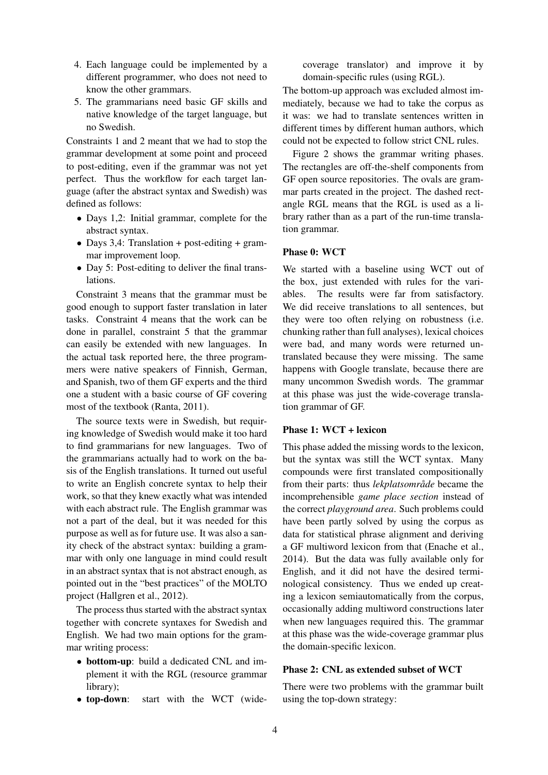- 4. Each language could be implemented by a different programmer, who does not need to know the other grammars.
- 5. The grammarians need basic GF skills and native knowledge of the target language, but no Swedish.

Constraints 1 and 2 meant that we had to stop the grammar development at some point and proceed to post-editing, even if the grammar was not yet perfect. Thus the workflow for each target language (after the abstract syntax and Swedish) was defined as follows:

- Days 1.2: Initial grammar, complete for the abstract syntax.
- Days 3,4: Translation + post-editing + grammar improvement loop.
- Day 5: Post-editing to deliver the final translations.

Constraint 3 means that the grammar must be good enough to support faster translation in later tasks. Constraint 4 means that the work can be done in parallel, constraint 5 that the grammar can easily be extended with new languages. In the actual task reported here, the three programmers were native speakers of Finnish, German, and Spanish, two of them GF experts and the third one a student with a basic course of GF covering most of the textbook (Ranta, 2011).

The source texts were in Swedish, but requiring knowledge of Swedish would make it too hard to find grammarians for new languages. Two of the grammarians actually had to work on the basis of the English translations. It turned out useful to write an English concrete syntax to help their work, so that they knew exactly what was intended with each abstract rule. The English grammar was not a part of the deal, but it was needed for this purpose as well as for future use. It was also a sanity check of the abstract syntax: building a grammar with only one language in mind could result in an abstract syntax that is not abstract enough, as pointed out in the "best practices" of the MOLTO project (Hallgren et al., 2012).

The process thus started with the abstract syntax together with concrete syntaxes for Swedish and English. We had two main options for the grammar writing process:

- bottom-up: build a dedicated CNL and implement it with the RGL (resource grammar library);
- top-down: start with the WCT (wide-

coverage translator) and improve it by domain-specific rules (using RGL).

The bottom-up approach was excluded almost immediately, because we had to take the corpus as it was: we had to translate sentences written in different times by different human authors, which could not be expected to follow strict CNL rules.

Figure 2 shows the grammar writing phases. The rectangles are off-the-shelf components from GF open source repositories. The ovals are grammar parts created in the project. The dashed rectangle RGL means that the RGL is used as a library rather than as a part of the run-time translation grammar.

# Phase 0: WCT

We started with a baseline using WCT out of the box, just extended with rules for the variables. The results were far from satisfactory. We did receive translations to all sentences, but they were too often relying on robustness (i.e. chunking rather than full analyses), lexical choices were bad, and many words were returned untranslated because they were missing. The same happens with Google translate, because there are many uncommon Swedish words. The grammar at this phase was just the wide-coverage translation grammar of GF.

## Phase 1: WCT + lexicon

This phase added the missing words to the lexicon, but the syntax was still the WCT syntax. Many compounds were first translated compositionally from their parts: thus *lekplatsområde* became the incomprehensible *game place section* instead of the correct *playground area*. Such problems could have been partly solved by using the corpus as data for statistical phrase alignment and deriving a GF multiword lexicon from that (Enache et al., 2014). But the data was fully available only for English, and it did not have the desired terminological consistency. Thus we ended up creating a lexicon semiautomatically from the corpus, occasionally adding multiword constructions later when new languages required this. The grammar at this phase was the wide-coverage grammar plus the domain-specific lexicon.

# Phase 2: CNL as extended subset of WCT

There were two problems with the grammar built using the top-down strategy: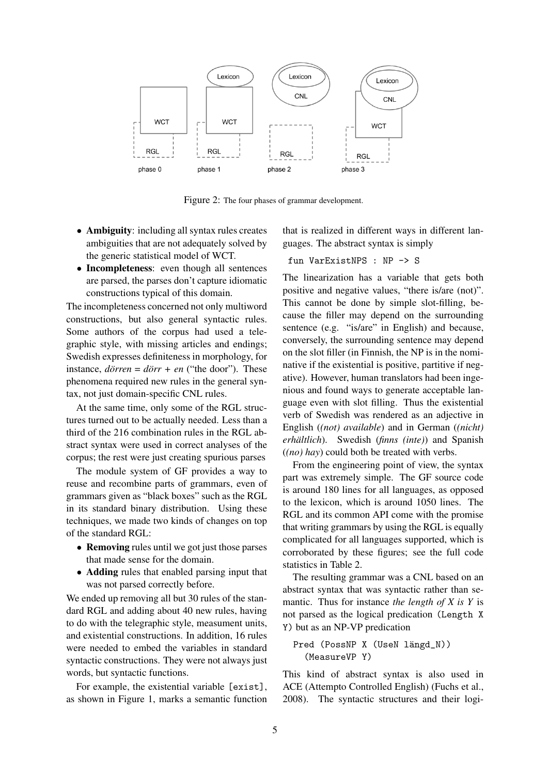

Figure 2: The four phases of grammar development.

- Ambiguity: including all syntax rules creates ambiguities that are not adequately solved by the generic statistical model of WCT.
- Incompleteness: even though all sentences are parsed, the parses don't capture idiomatic constructions typical of this domain.

The incompleteness concerned not only multiword constructions, but also general syntactic rules. Some authors of the corpus had used a telegraphic style, with missing articles and endings; Swedish expresses definiteness in morphology, for instance,  $d\ddot{\rho}$  *ren* =  $d\ddot{\rho}$ *rr* + *en* ("the door"). These phenomena required new rules in the general syntax, not just domain-specific CNL rules.

At the same time, only some of the RGL structures turned out to be actually needed. Less than a third of the 216 combination rules in the RGL abstract syntax were used in correct analyses of the corpus; the rest were just creating spurious parses

The module system of GF provides a way to reuse and recombine parts of grammars, even of grammars given as "black boxes" such as the RGL in its standard binary distribution. Using these techniques, we made two kinds of changes on top of the standard RGL:

- Removing rules until we got just those parses that made sense for the domain.
- Adding rules that enabled parsing input that was not parsed correctly before.

We ended up removing all but 30 rules of the standard RGL and adding about 40 new rules, having to do with the telegraphic style, measument units, and existential constructions. In addition, 16 rules were needed to embed the variables in standard syntactic constructions. They were not always just words, but syntactic functions.

For example, the existential variable [exist], as shown in Figure 1, marks a semantic function that is realized in different ways in different languages. The abstract syntax is simply

fun VarExistNPS : NP -> S

The linearization has a variable that gets both positive and negative values, "there is/are (not)". This cannot be done by simple slot-filling, because the filler may depend on the surrounding sentence (e.g. "is/are" in English) and because, conversely, the surrounding sentence may depend on the slot filler (in Finnish, the NP is in the nominative if the existential is positive, partitive if negative). However, human translators had been ingenious and found ways to generate acceptable language even with slot filling. Thus the existential verb of Swedish was rendered as an adjective in English (*(not) available*) and in German (*(nicht) erhaltlich ¨* ). Swedish (*finns (inte)*) and Spanish (*(no) hay*) could both be treated with verbs.

From the engineering point of view, the syntax part was extremely simple. The GF source code is around 180 lines for all languages, as opposed to the lexicon, which is around 1050 lines. The RGL and its common API come with the promise that writing grammars by using the RGL is equally complicated for all languages supported, which is corroborated by these figures; see the full code statistics in Table 2.

The resulting grammar was a CNL based on an abstract syntax that was syntactic rather than semantic. Thus for instance *the length of X is Y* is not parsed as the logical predication (Length X Y) but as an NP-VP predication

### Pred (PossNP X (UseN längd\_N)) (MeasureVP Y)

This kind of abstract syntax is also used in ACE (Attempto Controlled English) (Fuchs et al., 2008). The syntactic structures and their logi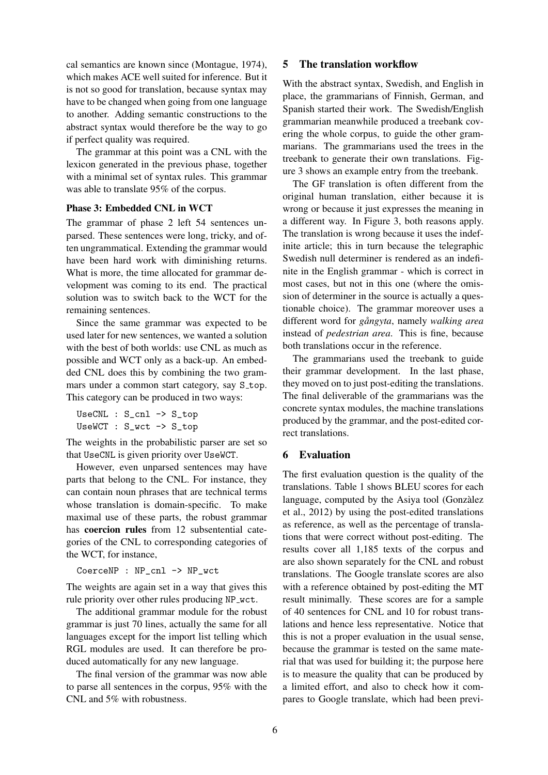cal semantics are known since (Montague, 1974), which makes ACE well suited for inference. But it is not so good for translation, because syntax may have to be changed when going from one language to another. Adding semantic constructions to the abstract syntax would therefore be the way to go if perfect quality was required.

The grammar at this point was a CNL with the lexicon generated in the previous phase, together with a minimal set of syntax rules. This grammar was able to translate 95% of the corpus.

### Phase 3: Embedded CNL in WCT

The grammar of phase 2 left 54 sentences unparsed. These sentences were long, tricky, and often ungrammatical. Extending the grammar would have been hard work with diminishing returns. What is more, the time allocated for grammar development was coming to its end. The practical solution was to switch back to the WCT for the remaining sentences.

Since the same grammar was expected to be used later for new sentences, we wanted a solution with the best of both worlds: use CNL as much as possible and WCT only as a back-up. An embedded CNL does this by combining the two grammars under a common start category, say S\_top. This category can be produced in two ways:

UseCNL : S\_cnl -> S\_top UseWCT : S\_wct -> S\_top

The weights in the probabilistic parser are set so that UseCNL is given priority over UseWCT.

However, even unparsed sentences may have parts that belong to the CNL. For instance, they can contain noun phrases that are technical terms whose translation is domain-specific. To make maximal use of these parts, the robust grammar has coercion rules from 12 subsentential categories of the CNL to corresponding categories of the WCT, for instance,

CoerceNP : NP\_cnl -> NP\_wct

The weights are again set in a way that gives this rule priority over other rules producing NP\_wct.

The additional grammar module for the robust grammar is just 70 lines, actually the same for all languages except for the import list telling which RGL modules are used. It can therefore be produced automatically for any new language.

The final version of the grammar was now able to parse all sentences in the corpus, 95% with the CNL and 5% with robustness.

#### 5 The translation workflow

With the abstract syntax, Swedish, and English in place, the grammarians of Finnish, German, and Spanish started their work. The Swedish/English grammarian meanwhile produced a treebank covering the whole corpus, to guide the other grammarians. The grammarians used the trees in the treebank to generate their own translations. Figure 3 shows an example entry from the treebank.

The GF translation is often different from the original human translation, either because it is wrong or because it just expresses the meaning in a different way. In Figure 3, both reasons apply. The translation is wrong because it uses the indefinite article; this in turn because the telegraphic Swedish null determiner is rendered as an indefinite in the English grammar - which is correct in most cases, but not in this one (where the omission of determiner in the source is actually a questionable choice). The grammar moreover uses a different word for *gangyta ˚* , namely *walking area* instead of *pedestrian area*. This is fine, because both translations occur in the reference.

The grammarians used the treebank to guide their grammar development. In the last phase, they moved on to just post-editing the translations. The final deliverable of the grammarians was the concrete syntax modules, the machine translations produced by the grammar, and the post-edited correct translations.

### 6 Evaluation

The first evaluation question is the quality of the translations. Table 1 shows BLEU scores for each language, computed by the Asiya tool (Gonzàlez et al., 2012) by using the post-edited translations as reference, as well as the percentage of translations that were correct without post-editing. The results cover all 1,185 texts of the corpus and are also shown separately for the CNL and robust translations. The Google translate scores are also with a reference obtained by post-editing the MT result minimally. These scores are for a sample of 40 sentences for CNL and 10 for robust translations and hence less representative. Notice that this is not a proper evaluation in the usual sense, because the grammar is tested on the same material that was used for building it; the purpose here is to measure the quality that can be produced by a limited effort, and also to check how it compares to Google translate, which had been previ-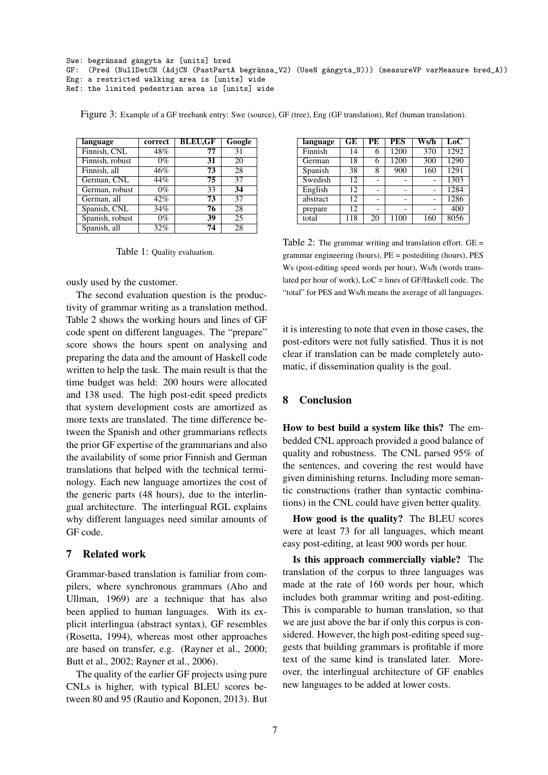```
Swe: begränsad gångyta är [units] bred
GF: (Pred (NullDetCN (AdjCN (PastPartA begränsa_V2) (UseN gångyta_N))) (measureVP varMeasure bred_A))
Eng: a restricted walking area is [units] wide
Ref: the limited pedestrian area is [units] wide
```

| language        | correct | <b>BLEU,GF</b> | Google          |
|-----------------|---------|----------------|-----------------|
| Finnish, CNL    | 48%     | 77             | 31              |
| Finnish, robust | $0\%$   | 31             | 20              |
| Finnish, all    | 46%     | 73             | 28              |
| German, CNL     | 44%     | 75             | 37              |
| German, robust  | $0\%$   | 33             | 34              |
| German, all     | 42%     | 73             | 37              |
| Spanish, CNL    | 34%     | 76             | 28              |
| Spanish, robust | $0\%$   | 39             | $\overline{25}$ |
| Spanish, all    | 32%     | 74             | 28              |

Figure 3: Example of a GF treebank entry: Swe (source), GF (tree), Eng (GF translation), Ref (human translation).

Table 1: Quality evaluation.

ously used by the customer.

The second evaluation question is the productivity of grammar writing as a translation method. Table 2 shows the working hours and lines of GF code spent on different languages. The "prepare" score shows the hours spent on analysing and preparing the data and the amount of Haskell code written to help the task. The main result is that the time budget was held: 200 hours were allocated and 138 used. The high post-edit speed predicts that system development costs are amortized as more texts are translated. The time difference between the Spanish and other grammarians reflects the prior GF expertise of the grammarians and also the availability of some prior Finnish and German translations that helped with the technical terminology. Each new language amortizes the cost of the generic parts (48 hours), due to the interlingual architecture. The interlingual RGL explains why different languages need similar amounts of GF code.

## 7 Related work

Grammar-based translation is familiar from compilers, where synchronous grammars (Aho and Ullman, 1969) are a technique that has also been applied to human languages. With its explicit interlingua (abstract syntax), GF resembles (Rosetta, 1994), whereas most other approaches are based on transfer, e.g. (Rayner et al., 2000; Butt et al., 2002; Rayner et al., 2006).

The quality of the earlier GF projects using pure CNLs is higher, with typical BLEU scores between 80 and 95 (Rautio and Koponen, 2013). But

| language | GE  | PE | <b>PES</b> | Ws/h | LoC         |
|----------|-----|----|------------|------|-------------|
| Finnish  | 14  | 6  | 1200       | 370  | 1292        |
| German   | 18  | 6  | 1200       | 300  | <b>1290</b> |
| Spanish  | 38  | 8  | 900        | 160  | 1291        |
| Swedish  | 12  |    |            |      | 1303        |
| English  | 12  |    |            |      | 1284        |
| abstract | 12  |    |            |      | 1286        |
| prepare  | 12  |    |            |      | 400         |
| total    | 118 | 20 | 1100       | 160  | 8056        |

Table 2: The grammar writing and translation effort. GE = grammar engineering (hours), PE = postediting (hours), PES Ws (post-editing speed words per hour), Ws/h (words translated per hour of work), LoC = lines of GF/Haskell code. The "total" for PES and Ws/h means the average of all languages.

it is interesting to note that even in those cases, the post-editors were not fully satisfied. Thus it is not clear if translation can be made completely automatic, if dissemination quality is the goal.

### 8 Conclusion

How to best build a system like this? The embedded CNL approach provided a good balance of quality and robustness. The CNL parsed 95% of the sentences, and covering the rest would have given diminishing returns. Including more semantic constructions (rather than syntactic combinations) in the CNL could have given better quality.

How good is the quality? The BLEU scores were at least 73 for all languages, which meant easy post-editing, at least 900 words per hour.

Is this approach commercially viable? The translation of the corpus to three languages was made at the rate of 160 words per hour, which includes both grammar writing and post-editing. This is comparable to human translation, so that we are just above the bar if only this corpus is considered. However, the high post-editing speed suggests that building grammars is profitable if more text of the same kind is translated later. Moreover, the interlingual architecture of GF enables new languages to be added at lower costs.